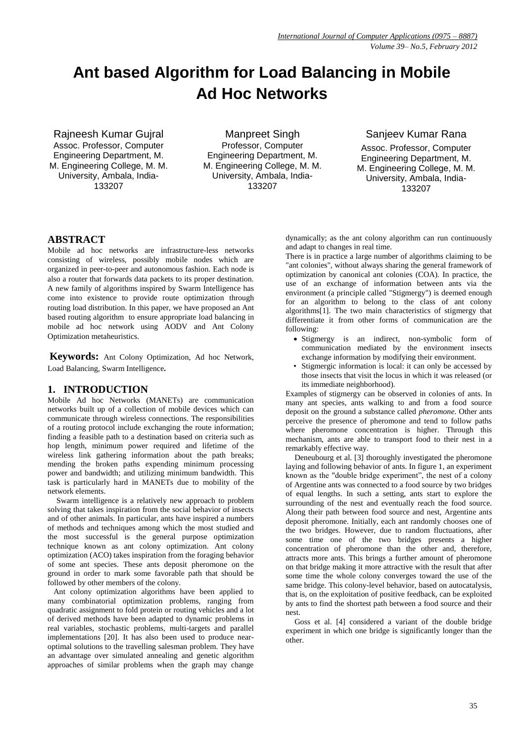# **Ant based Algorithm for Load Balancing in Mobile Ad Hoc Networks**

Rajneesh Kumar Gujral Assoc. Professor, Computer Engineering Department, M. M. Engineering College, M. M. University, Ambala, India-133207

Manpreet Singh Professor, Computer Engineering Department, M. M. Engineering College, M. M. University, Ambala, India-133207

# Sanjeev Kumar Rana

Assoc. Professor, Computer Engineering Department, M. M. Engineering College, M. M. University, Ambala, India-133207

# **ABSTRACT**

Mobile ad hoc networks are infrastructure-less networks consisting of wireless, possibly mobile nodes which are organized in peer-to-peer and autonomous fashion. Each node is also a router that forwards data packets to its proper destination. A new family of algorithms inspired by Swarm Intelligence has come into existence to provide route optimization through routing load distribution. In this paper, we have proposed an Ant based routing algorithm to ensure appropriate load balancing in mobile ad hoc network using AODV and Ant Colony Optimization metaheuristics.

**Keywords:** Ant Colony Optimization, Ad hoc Network, Load Balancing, Swarm Intelligence**.**

## **1. INTRODUCTION**

Mobile Ad hoc Networks (MANETs) are communication networks built up of a collection of mobile devices which can communicate through wireless connections. The responsibilities of a routing protocol include exchanging the route information; finding a feasible path to a destination based on criteria such as hop length, minimum power required and lifetime of the wireless link gathering information about the path breaks; mending the broken paths expending minimum processing power and bandwidth; and utilizing minimum bandwidth. This task is particularly hard in MANETs due to mobility of the network elements.

Swarm intelligence is a relatively new approach to problem solving that takes inspiration from the social behavior of insects and of other animals. In particular, ants have inspired a numbers of methods and techniques among which the most studied and the most successful is the general purpose optimization technique known as ant colony optimization. Ant colony optimization (ACO) takes inspiration from the foraging behavior of some ant species. These ants deposit pheromone on the ground in order to mark some favorable path that should be followed by other members of the colony.

 Ant colony optimization algorithms have been applied to many combinatorial optimization problems, ranging from quadratic assignment to fold [protein](http://en.wikipedia.org/wiki/Protein) o[r routing vehicles](http://en.wikipedia.org/wiki/Vehicle_routing_problem) and a lot of derived methods have been adapted to dynamic problems in real variables, stochastic problems, multi-targets and parallel implementations [20]. It has also been used to produce nearoptimal solutions to the [travelling salesman problem.](http://en.wikipedia.org/wiki/Travelling_salesman_problem) They have an advantage over [simulated annealing](http://en.wikipedia.org/wiki/Simulated_annealing) and [genetic algorithm](http://en.wikipedia.org/wiki/Genetic_algorithm) approaches of similar problems when the graph may change

dynamically; as the ant colony algorithm can run continuously and adapt to changes in real time.

There is in practice a large number of algorithms claiming to be "ant colonies", without always sharing the general framework of optimization by canonical ant colonies (COA). In practice, the use of an exchange of information between ants via the environment (a principle called ["Stigmergy"](http://en.wikipedia.org/wiki/Stigmergy)) is deemed enough for an algorithm to belong to the class of ant colony algorithms[1]. The two main characteristics of stigmergy that differentiate it from other forms of communication are the following:

- Stigmergy is an indirect, non-symbolic form of communication mediated by the environment insects exchange information by modifying their environment.
- Stigmergic information is local: it can only be accessed by those insects that visit the locus in which it was released (or its immediate neighborhood).

Examples of stigmergy can be observed in colonies of ants. In many ant species, ants walking to and from a food source deposit on the ground a substance called *pheromone.* Other ants perceive the presence of pheromone and tend to follow paths where pheromone concentration is higher. Through this mechanism, ants are able to transport food to their nest in a remarkably effective way.

Deneubourg et al. [3] thoroughly investigated the pheromone laying and following behavior of ants. In figure 1, an experiment known as the "double bridge experiment", the nest of a colony of Argentine ants was connected to a food source by two bridges of equal lengths. In such a setting, ants start to explore the surrounding of the nest and eventually reach the food source. Along their path between food source and nest, Argentine ants deposit pheromone. Initially, each ant randomly chooses one of the two bridges. However, due to random fluctuations, after some time one of the two bridges presents a higher concentration of pheromone than the other and, therefore, attracts more ants. This brings a further amount of pheromone on that bridge making it more attractive with the result that after some time the whole colony converges toward the use of the same bridge. This colony-level behavior, based on autocatalysis, that is, on the exploitation of positive feedback, can be exploited by ants to find the shortest path between a food source and their nest.

Goss et al. [4] considered a variant of the double bridge experiment in which one bridge is significantly longer than the other.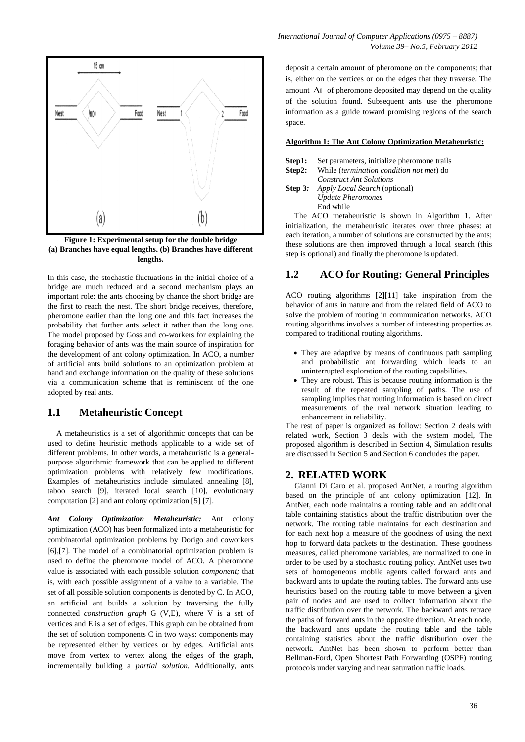

**Figure 1: Experimental setup for the double bridge (a) Branches have equal lengths. (b) Branches have different lengths.**

In this case, the stochastic fluctuations in the initial choice of a bridge are much reduced and a second mechanism plays an important role: the ants choosing by chance the short bridge are the first to reach the nest. The short bridge receives, therefore, pheromone earlier than the long one and this fact increases the probability that further ants select it rather than the long one. The model proposed by Goss and co-workers for explaining the foraging behavior of ants was the main source of inspiration for the development of ant colony optimization. In ACO, a number of artificial ants build solutions to an optimization problem at hand and exchange information on the quality of these solutions via a communication scheme that is reminiscent of the one adopted by real ants.

## **1.1 Metaheuristic Concept**

A metaheuristics is a set of algorithmic concepts that can be used to define heuristic methods applicable to a wide set of different problems. In other words, a metaheuristic is a generalpurpose algorithmic framework that can be applied to different optimization problems with relatively few modifications. Examples of metaheuristics include simulated annealing [8], taboo search [9], iterated local search [10], evolutionary computation [2] and ant colony optimization [5] [7].

*Ant Colony Optimization Metaheuristic:* Ant colony optimization (ACO) has been formalized into a metaheuristic for combinatorial optimization problems by Dorigo and coworkers [6],[7]. The model of a combinatorial optimization problem is used to define the pheromone model of ACO. A pheromone value is associated with each possible solution *component;* that is, with each possible assignment of a value to a variable. The set of all possible solution components is denoted by C. In ACO, an artificial ant builds a solution by traversing the fully connected *construction graph* G (V,E), where V is a set of vertices and E is a set of edges. This graph can be obtained from the set of solution components C in two ways: components may be represented either by vertices or by edges. Artificial ants move from vertex to vertex along the edges of the graph, incrementally building a *partial solution.* Additionally, ants deposit a certain amount of pheromone on the components; that is, either on the vertices or on the edges that they traverse. The amount  $\Delta t$  of pheromone deposited may depend on the quality of the solution found. Subsequent ants use the pheromone information as a guide toward promising regions of the search space.

#### **Algorithm 1: The Ant Colony Optimization Metaheuristic:**

**Step1:** Set parameters, initialize pheromone trails

**Step2:** While (*termination condition not met*) do

*Construct Ant Solutions* **Step 3***: Apply Local Search* (optional) *Update Pheromones* End while

The ACO metaheuristic is shown in Algorithm 1. After initialization, the metaheuristic iterates over three phases: at each iteration, a number of solutions are constructed by the ants; these solutions are then improved through a local search (this step is optional) and finally the pheromone is updated.

## **1.2 ACO for Routing: General Principles**

ACO routing algorithms [2][11] take inspiration from the behavior of ants in nature and from the related field of ACO to solve the problem of routing in communication networks. ACO routing algorithms involves a number of interesting properties as compared to traditional routing algorithms.

- They are adaptive by means of continuous path sampling and probabilistic ant forwarding which leads to an uninterrupted exploration of the routing capabilities.
- They are robust. This is because routing information is the result of the repeated sampling of paths. The use of sampling implies that routing information is based on direct measurements of the real network situation leading to enhancement in reliability.

The rest of paper is organized as follow: Section 2 deals with related work, Section 3 deals with the system model, The proposed algorithm is described in Section 4, Simulation results are discussed in Section 5 and Section 6 concludes the paper.

## **2. RELATED WORK**

Gianni Di Caro et al. proposed AntNet, a routing algorithm based on the principle of ant colony optimization [12]. In AntNet, each node maintains a routing table and an additional table containing statistics about the traffic distribution over the network. The routing table maintains for each destination and for each next hop a measure of the goodness of using the next hop to forward data packets to the destination. These goodness measures, called pheromone variables, are normalized to one in order to be used by a stochastic routing policy. AntNet uses two sets of homogeneous mobile agents called forward ants and backward ants to update the routing tables. The forward ants use heuristics based on the routing table to move between a given pair of nodes and are used to collect information about the traffic distribution over the network. The backward ants retrace the paths of forward ants in the opposite direction. At each node, the backward ants update the routing table and the table containing statistics about the traffic distribution over the network. AntNet has been shown to perform better than Bellman-Ford, Open Shortest Path Forwarding (OSPF) routing protocols under varying and near saturation traffic loads.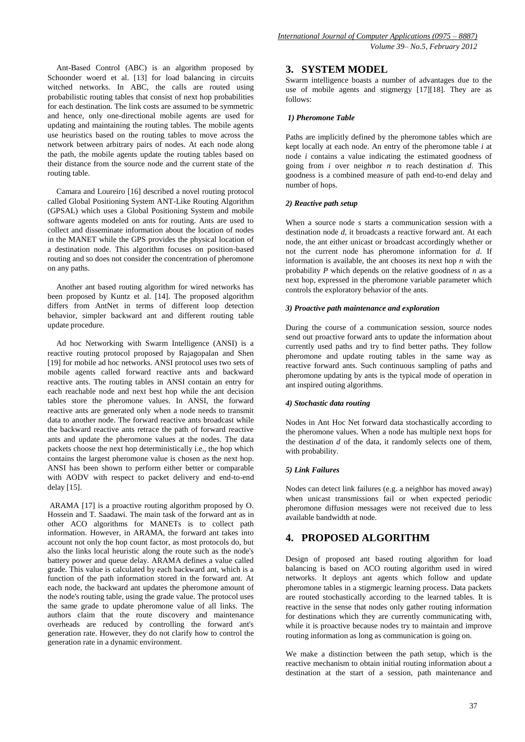Ant-Based Control (ABC) is an algorithm proposed by Schoonder woerd et al. [13] for load balancing in circuits witched networks. In ABC, the calls are routed using probabilistic routing tables that consist of next hop probabilities for each destination. The link costs are assumed to be symmetric and hence, only one-directional mobile agents are used for updating and maintaining the routing tables. The mobile agents use heuristics based on the routing tables to move across the network between arbitrary pairs of nodes. At each node along the path, the mobile agents update the routing tables based on their distance from the source node and the current state of the routing table.

Camara and Loureiro [16] described a novel routing protocol called Global Positioning System ANT-Like Routing Algorithm (GPSAL) which uses a Global Positioning System and mobile software agents modeled on ants for routing. Ants are used to collect and disseminate information about the location of nodes in the MANET while the GPS provides the physical location of a destination node. This algorithm focuses on position-based routing and so does not consider the concentration of pheromone on any paths.

Another ant based routing algorithm for wired networks has been proposed by Kuntz et al. [14]. The proposed algorithm differs from AntNet in terms of different loop detection behavior, simpler backward ant and different routing table update procedure.

Ad hoc Networking with Swarm Intelligence (ANSI) is a reactive routing protocol proposed by Rajagopalan and Shen [19] for mobile ad hoc networks. ANSI protocol uses two sets of mobile agents called forward reactive ants and backward reactive ants. The routing tables in ANSI contain an entry for each reachable node and next best hop while the ant decision tables store the pheromone values. In ANSI, the forward reactive ants are generated only when a node needs to transmit data to another node. The forward reactive ants broadcast while the backward reactive ants retrace the path of forward reactive ants and update the pheromone values at the nodes. The data packets choose the next hop deterministically i.e., the hop which contains the largest pheromone value is chosen as the next hop. ANSI has been shown to perform either better or comparable with AODV with respect to packet delivery and end-to-end delay [15].

ARAMA [17] is a proactive routing algorithm proposed by O. Hossein and T. Saadawi. The main task of the forward ant as in other ACO algorithms for MANETs is to collect path information. However, in ARAMA, the forward ant takes into account not only the hop count factor, as most protocols do, but also the links local heuristic along the route such as the node's battery power and queue delay. ARAMA defines a value called grade. This value is calculated by each backward ant, which is a function of the path information stored in the forward ant. At each node, the backward ant updates the pheromone amount of the node's routing table, using the grade value. The protocol uses the same grade to update pheromone value of all links. The authors claim that the route discovery and maintenance overheads are reduced by controlling the forward ant's generation rate. However, they do not clarify how to control the generation rate in a dynamic environment.

## **3. SYSTEM MODEL**

Swarm intelligence boasts a number of advantages due to the use of mobile agents and stigmergy [17][18]. They are as follows:

#### *1) Pheromone Table*

Paths are implicitly defined by the pheromone tables which are kept locally at each node. An entry of the pheromone table *i* at node *i* contains a value indicating the estimated goodness of going from *i* over neighbor *n* to reach destination *d*. This goodness is a combined measure of path end-to-end delay and number of hops.

#### *2) Reactive path setup*

When a source node *s* starts a communication session with a destination node *d*, it broadcasts a reactive forward ant. At each node, the ant either unicast or broadcast accordingly whether or not the current node has pheromone information for *d*. If information is available, the ant chooses its next hop *n* with the probability *P* which depends on the relative goodness of *n* as a next hop, expressed in the pheromone variable parameter which controls the exploratory behavior of the ants.

#### *3) Proactive path maintenance and exploration*

During the course of a communication session, source nodes send out proactive forward ants to update the information about currently used paths and try to find better paths. They follow pheromone and update routing tables in the same way as reactive forward ants. Such continuous sampling of paths and pheromone updating by ants is the typical mode of operation in ant inspired outing algorithms.

#### *4) Stochastic data routing*

Nodes in Ant Hoc Net forward data stochastically according to the pheromone values. When a node has multiple next hops for the destination *d* of the data, it randomly selects one of them, with probability.

#### *5) Link Failures*

Nodes can detect link failures (e.g. a neighbor has moved away) when unicast transmissions fail or when expected periodic pheromone diffusion messages were not received due to less available bandwidth at node.

# **4. PROPOSED ALGORITHM**

Design of proposed ant based routing algorithm for load balancing is based on ACO routing algorithm used in wired networks. It deploys ant agents which follow and update pheromone tables in a stigmergic learning process. Data packets are routed stochastically according to the learned tables. It is reactive in the sense that nodes only gather routing information for destinations which they are currently communicating with, while it is proactive because nodes try to maintain and improve routing information as long as communication is going on.

We make a distinction between the path setup, which is the reactive mechanism to obtain initial routing information about a destination at the start of a session, path maintenance and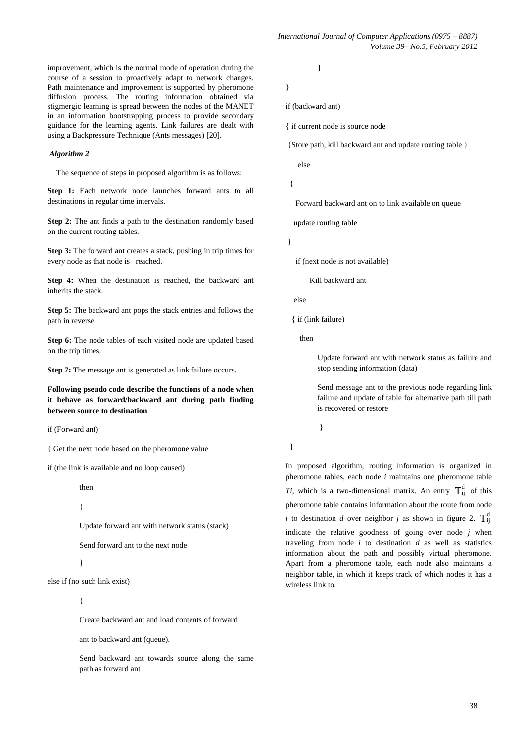improvement, which is the normal mode of operation during the course of a session to proactively adapt to network changes. Path maintenance and improvement is supported by pheromone diffusion process. The routing information obtained via stigmergic learning is spread between the nodes of the MANET in an information bootstrapping process to provide secondary guidance for the learning agents. Link failures are dealt with using a Backpressure Technique (Ants messages) [20].

#### *Algorithm 2*

The sequence of steps in proposed algorithm is as follows:

**Step 1:** Each network node launches forward ants to all destinations in regular time intervals.

**Step 2:** The ant finds a path to the destination randomly based on the current routing tables.

**Step 3:** The forward ant creates a stack, pushing in trip times for every node as that node is reached.

**Step 4:** When the destination is reached, the backward ant inherits the stack.

**Step 5:** The backward ant pops the stack entries and follows the path in reverse.

**Step 6:** The node tables of each visited node are updated based on the trip times.

**Step 7:** The message ant is generated as link failure occurs.

**Following pseudo code describe the functions of a node when it behave as forward/backward ant during path finding between source to destination**

if (Forward ant)

{ Get the next node based on the pheromone value

if (the link is available and no loop caused)

then

{

Update forward ant with network status (stack)

Send forward ant to the next node

}

else if (no such link exist)

{

Create backward ant and load contents of forward

ant to backward ant (queue).

Send backward ant towards source along the same path as forward ant

}

if (backward ant)

}

{ if current node is source node

{Store path, kill backward ant and update routing table }

else

{

Forward backward ant on to link available on queue

update routing table

}

if (next node is not available)

Kill backward ant

else

{ if (link failure)

then

Update forward ant with network status as failure and stop sending information (data)

Send message ant to the previous node regarding link failure and update of table for alternative path till path is recovered or restore

}

wireless link to.

}

In proposed algorithm, routing information is organized in pheromone tables, each node *i* maintains one pheromone table *Ti*, which is a two-dimensional matrix. An entry  $T_{ij}^d$  of this pheromone table contains information about the route from node *i* to destination *d* over neighbor *j* as shown in figure 2.  $T_{ij}^d$ indicate the relative goodness of going over node *j* when traveling from node *i* to destination *d* as well as statistics information about the path and possibly virtual pheromone. Apart from a pheromone table, each node also maintains a neighbor table, in which it keeps track of which nodes it has a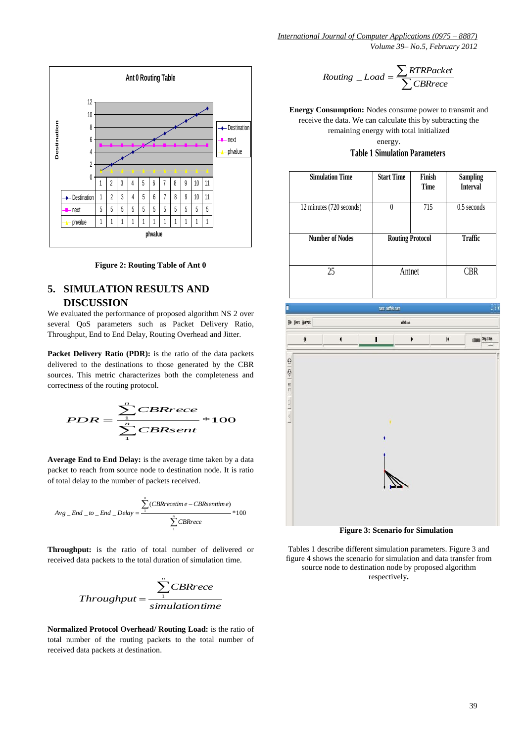

**Figure 2: Routing Table of Ant 0**

# **5. SIMULATION RESULTS AND DISCUSSION**

We evaluated the performance of proposed algorithm NS 2 over several QoS parameters such as Packet Delivery Ratio, Throughput, End to End Delay, Routing Overhead and Jitter.

Packet Delivery Ratio (PDR): is the ratio of the data packets delivered to the destinations to those generated by the CBR sources. This metric characterizes both the completeness and correctness of the routing protocol.

$$
PDR = \frac{\sum_{1}^{n} CBRrece}{\sum_{1}^{n} CBRsent} * 100
$$

**Average End to End Delay:** is the average time taken by a data packet to reach from source node to destination node. It is ratio of total delay to the number of packets received.

$$
Avg\_End\_to\_End\_Delay = \frac{\sum_{1}^{n} (CBRrecetime - CBRsenttime)}{\sum_{1}^{n} CBRrece} * 100
$$

**Throughput:** is the ratio of total number of delivered or received data packets to the total duration of simulation time.

$$
Throughout = \frac{\sum_{1}^{n} CBRree}{simulation time}
$$

**Normalized Protocol Overhead/ Routing Load:** is the ratio of total number of the routing packets to the total number of received data packets at destination.

$$
Routing\_Load = \frac{\sum RTRPacket}{\sum CBRrece}
$$

**Energy Consumption:** Nodes consume power to transmit and receive the data. We can calculate this by subtracting the remaining energy with total initialized

energy. **Table 1 Simulation Parameters**

| <b>Simulation Time</b>   | <b>Start Time</b>       | Finish<br>Time | <b>Sampling</b><br><b>Interval</b> |
|--------------------------|-------------------------|----------------|------------------------------------|
| 12 minutes (720 seconds) | 0                       | 715            | $0.5$ seconds                      |
| <b>Number of Nodes</b>   | <b>Routing Protocol</b> |                | <b>Traffic</b>                     |
| 25                       | Antnet                  |                | CBR                                |



Tables 1 describe different simulation parameters. Figure 3 and figure 4 shows the scenario for simulation and data transfer from source node to destination node by proposed algorithm respectively**.**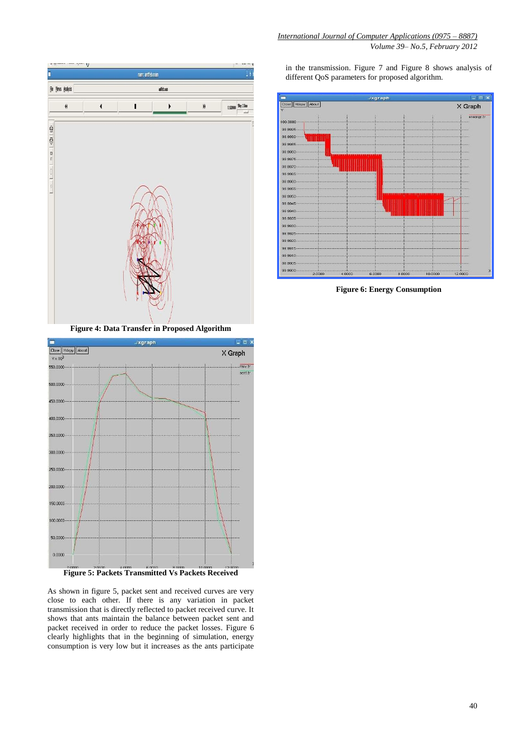

**Figure 4: Data Transfer in Proposed Algorithm**



As shown in figure 5, packet sent and received curves are very close to each other. If there is any variation in packet transmission that is directly reflected to packet received curve. It shows that ants maintain the balance between packet sent and packet received in order to reduce the packet losses. Figure 6 clearly highlights that in the beginning of simulation, energy consumption is very low but it increases as the ants participate

in the transmission. Figure 7 and Figure 8 shows analysis of different QoS parameters for proposed algorithm.



**Figure 6: Energy Consumption**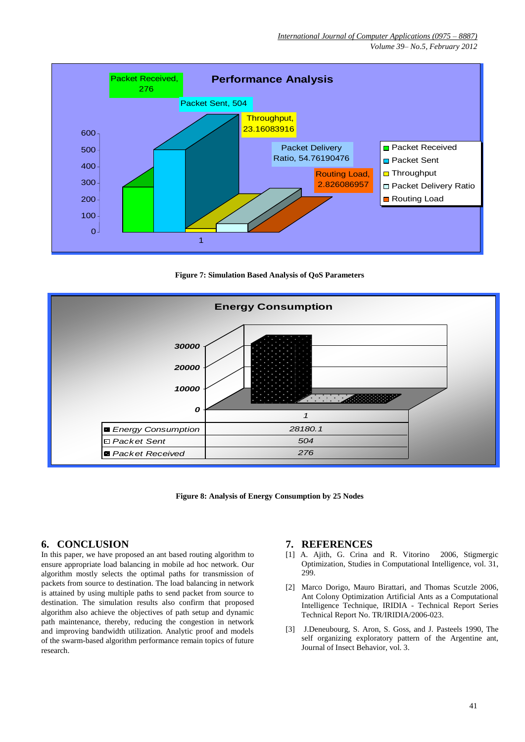

**Figure 7: Simulation Based Analysis of QoS Parameters** 



**Figure 8: Analysis of Energy Consumption by 25 Nodes**

# **6. CONCLUSION**

In this paper, we have proposed an ant based routing algorithm to ensure appropriate load balancing in mobile ad hoc network. Our algorithm mostly selects the optimal paths for transmission of packets from source to destination. The load balancing in network is attained by using multiple paths to send packet from source to destination. The simulation results also confirm that proposed algorithm also achieve the objectives of path setup and dynamic path maintenance, thereby, reducing the congestion in network and improving bandwidth utilization. Analytic proof and models of the swarm-based algorithm performance remain topics of future research.

## **7. REFERENCES**

- [1] A. Ajith, G. Crina and R. Vitorino 2006, Stigmergic Optimization, Studies in Computational Intelligence, vol. 31, 299.
- [2] Marco Dorigo, Mauro Birattari, and Thomas Scutzle 2006, Ant Colony Optimization Artificial Ants as a Computational Intelligence Technique, IRIDIA - Technical Report Series Technical Report No. TR/IRIDIA/2006-023.
- [3] J.Deneubourg, S. Aron, S. Goss, and J. Pasteels 1990, The self organizing exploratory pattern of the Argentine ant, Journal of Insect Behavior, vol. 3.